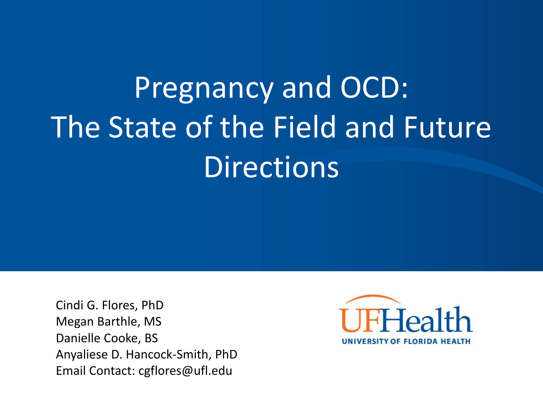# Pregnancy and OCD: The State of the Field and Future **Directions**

Cindi G. Flores, PhD Megan Barthle, MS Danielle Cooke, BS Anyaliese D. Hancock-Smith, PhD Email Contact: cgflores@ufl.edu

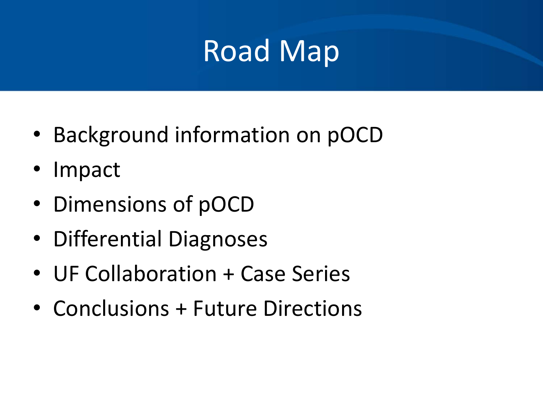### Road Map

- Background information on pOCD
- Impact
- Dimensions of pOCD
- Differential Diagnoses
- UF Collaboration + Case Series
- Conclusions + Future Directions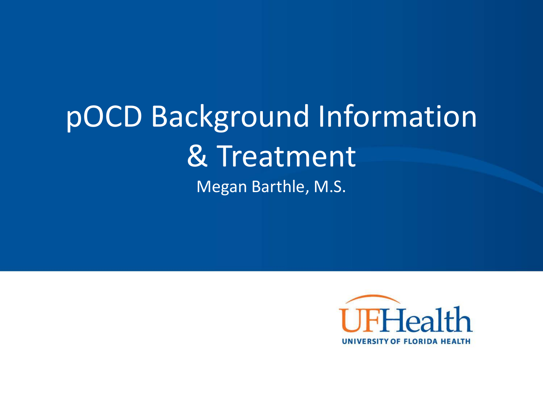#### pOCD Background Information & Treatment Megan Barthle, M.S.

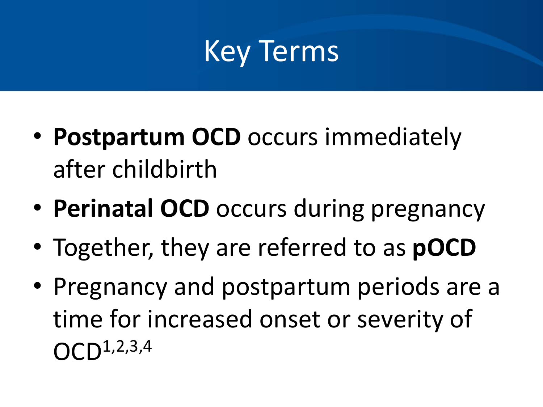### Key Terms

- **Postpartum OCD** occurs immediately after childbirth
- **Perinatal OCD** occurs during pregnancy
- Together, they are referred to as **pOCD**
- Pregnancy and postpartum periods are a time for increased onset or severity of  $OCD^{1,2,3,4}$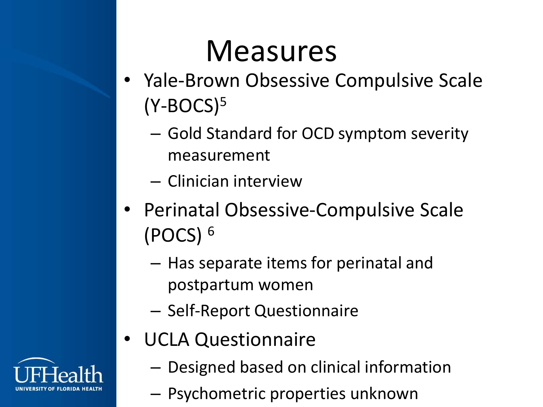### Measures

- Yale-Brown Obsessive Compulsive Scale  $(Y-BOCS)<sup>5</sup>$ 
	- Gold Standard for OCD symptom severity measurement
	- Clinician interview
- Perinatal Obsessive-Compulsive Scale (POCS) <sup>6</sup>
	- Has separate items for perinatal and postpartum women
	- Self-Report Questionnaire
- UCLA Questionnaire
	- Designed based on clinical information
	- Psychometric properties unknown

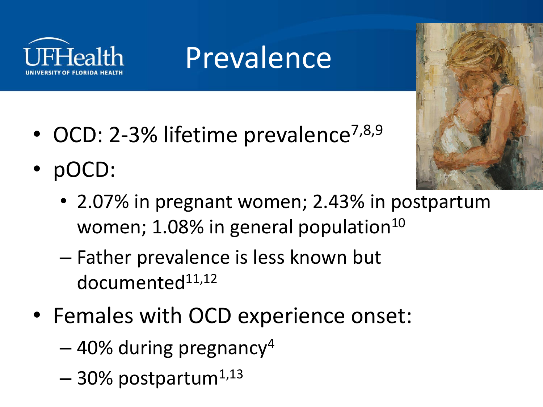

## Prevalence

- OCD: 2-3% lifetime prevalence<sup>7,8,9</sup>
- pOCD:



- 2.07% in pregnant women; 2.43% in postpartum women;  $1.08\%$  in general population<sup>10</sup>
- Father prevalence is less known but  $documented<sup>11,12</sup>$
- Females with OCD experience onset:
	- $-40\%$  during pregnancy<sup>4</sup>
	- $-30\%$  postpartum<sup>1,13</sup>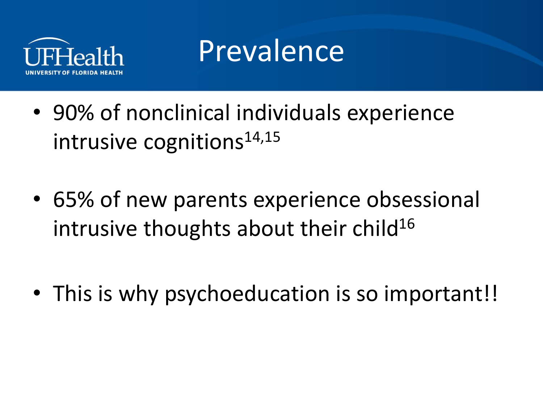

#### Prevalence

- 90% of nonclinical individuals experience intrusive cognitions $14,15$
- 65% of new parents experience obsessional intrusive thoughts about their child<sup>16</sup>
- This is why psychoeducation is so important!!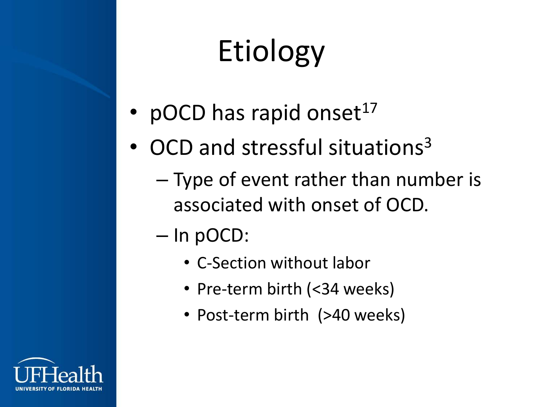# Etiology

- pOCD has rapid onset $17$
- OCD and stressful situations<sup>3</sup>
	- Type of event rather than number is associated with onset of OCD.
	- In pOCD:
		- C-Section without labor
		- Pre-term birth (<34 weeks)
		- Post-term birth (>40 weeks)

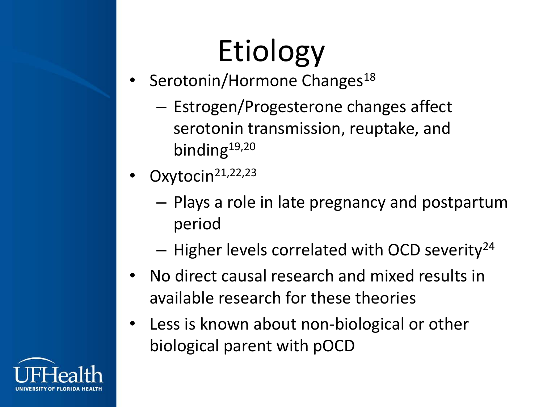# Etiology

- Serotonin/Hormone Changes<sup>18</sup>
	- Estrogen/Progesterone changes affect serotonin transmission, reuptake, and binding<sup>19,20</sup>
- Oxytocin<sup>21,22,23</sup>
	- Plays a role in late pregnancy and postpartum period
	- $-$  Higher levels correlated with OCD severity<sup>24</sup>
- No direct causal research and mixed results in available research for these theories
- Less is known about non-biological or other biological parent with pOCD

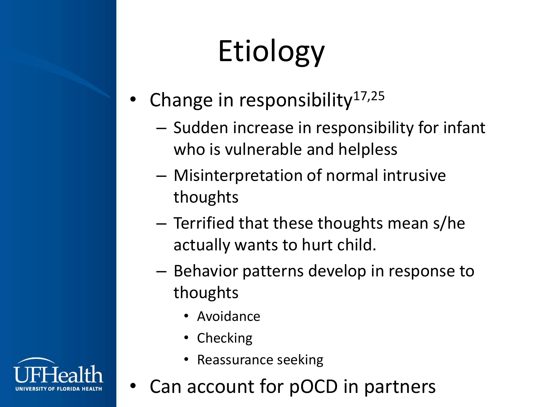# Etiology

- Change in responsibility<sup>17,25</sup>
	- Sudden increase in responsibility for infant who is vulnerable and helpless
	- Misinterpretation of normal intrusive thoughts
	- Terrified that these thoughts mean s/he actually wants to hurt child.
	- Behavior patterns develop in response to thoughts
		- Avoidance
		- Checking
		- Reassurance seeking
	- Can account for pOCD in partners

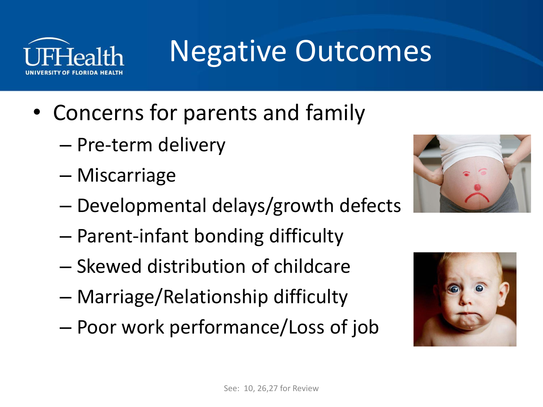

### Negative Outcomes

- Concerns for parents and family
	- Pre-term delivery
	- Miscarriage
	- Developmental delays/growth defects
	- Parent-infant bonding difficulty
	- Skewed distribution of childcare
	- Marriage/Relationship difficulty
	- Poor work performance/Loss of job



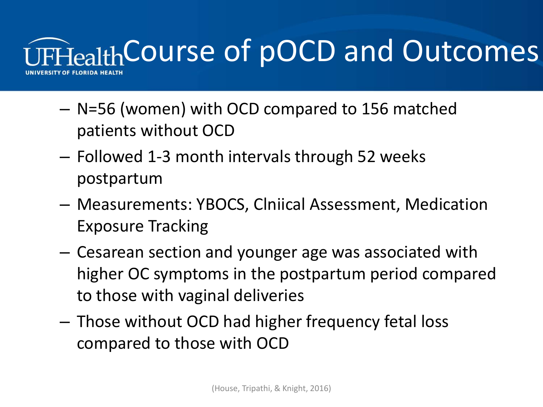

- N=56 (women) with OCD compared to 156 matched patients without OCD
- Followed 1-3 month intervals through 52 weeks postpartum
- Measurements: YBOCS, Clniical Assessment, Medication Exposure Tracking
- Cesarean section and younger age was associated with higher OC symptoms in the postpartum period compared to those with vaginal deliveries
- Those without OCD had higher frequency fetal loss compared to those with OCD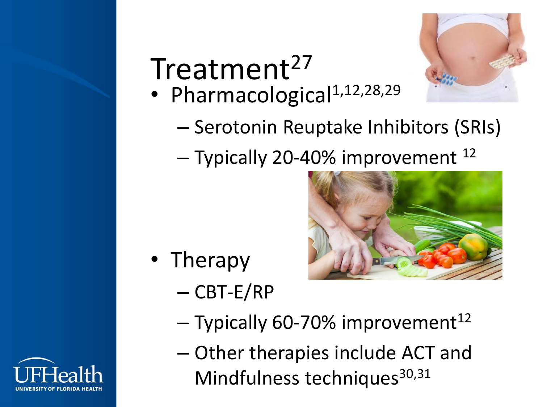# Treatment<sup>27</sup>

• Pharmacological<sup>1,12,28,29</sup>



- Serotonin Reuptake Inhibitors (SRIs)
- Typically 20-40% improvement <sup>12</sup>



- Therapy
	- CBT-E/RP
	- $-$  Typically 60-70% improvement<sup>12</sup>
	- Other therapies include ACT and Mindfulness techniques<sup>30,31</sup>

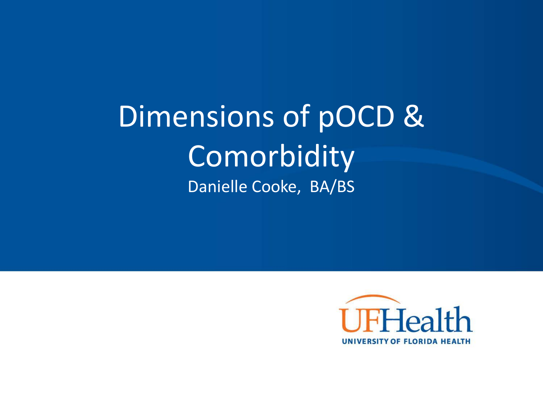Dimensions of pOCD & **Comorbidity** Danielle Cooke, BA/BS

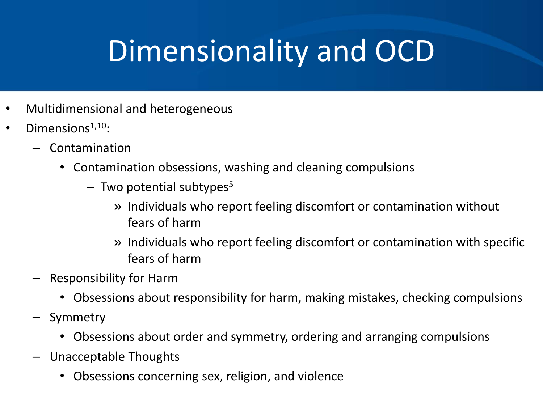## Dimensionality and OCD

- Multidimensional and heterogeneous
- Dimensions $1,10$ :
	- Contamination
		- Contamination obsessions, washing and cleaning compulsions
			- $-$  Two potential subtypes<sup>5</sup>
				- » Individuals who report feeling discomfort or contamination without fears of harm
				- » Individuals who report feeling discomfort or contamination with specific fears of harm
	- Responsibility for Harm
		- Obsessions about responsibility for harm, making mistakes, checking compulsions
	- **Symmetry** 
		- Obsessions about order and symmetry, ordering and arranging compulsions
	- Unacceptable Thoughts
		- Obsessions concerning sex, religion, and violence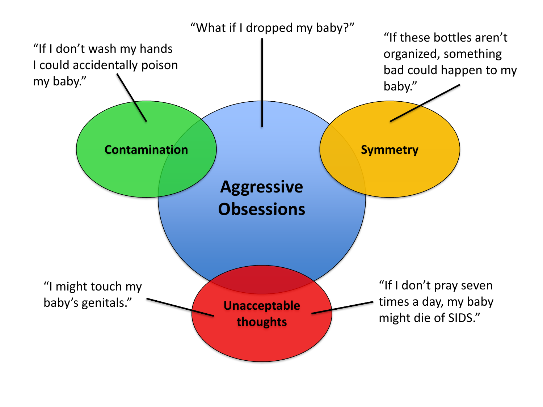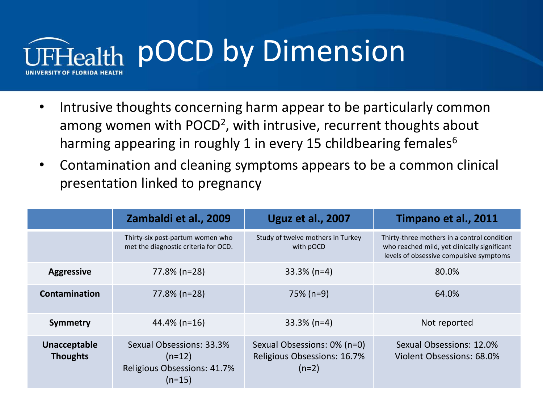

- Intrusive thoughts concerning harm appear to be particularly common among women with POCD<sup>2</sup>, with intrusive, recurrent thoughts about harming appearing in roughly 1 in every 15 childbearing females $6$
- Contamination and cleaning symptoms appears to be a common clinical presentation linked to pregnancy

|                                 | Zambaldi et al., 2009                                                           | <b>Uguz et al., 2007</b>                                              | Timpano et al., 2011                                                                                                                   |
|---------------------------------|---------------------------------------------------------------------------------|-----------------------------------------------------------------------|----------------------------------------------------------------------------------------------------------------------------------------|
|                                 | Thirty-six post-partum women who<br>met the diagnostic criteria for OCD.        | Study of twelve mothers in Turkey<br>with pOCD                        | Thirty-three mothers in a control condition<br>who reached mild, yet clinically significant<br>levels of obsessive compulsive symptoms |
| <b>Aggressive</b>               | 77.8% (n=28)                                                                    | $33.3\%$ (n=4)                                                        | 80.0%                                                                                                                                  |
| Contamination                   | 77.8% (n=28)                                                                    | 75% (n=9)                                                             | 64.0%                                                                                                                                  |
| Symmetry                        | $44.4\%$ (n=16)                                                                 | $33.3\%$ (n=4)                                                        | Not reported                                                                                                                           |
| Unacceptable<br><b>Thoughts</b> | Sexual Obsessions: 33.3%<br>$(n=12)$<br>Religious Obsessions: 41.7%<br>$(n=15)$ | Sexual Obsessions: 0% (n=0)<br>Religious Obsessions: 16.7%<br>$(n=2)$ | Sexual Obsessions: 12.0%<br>Violent Obsessions: 68.0%                                                                                  |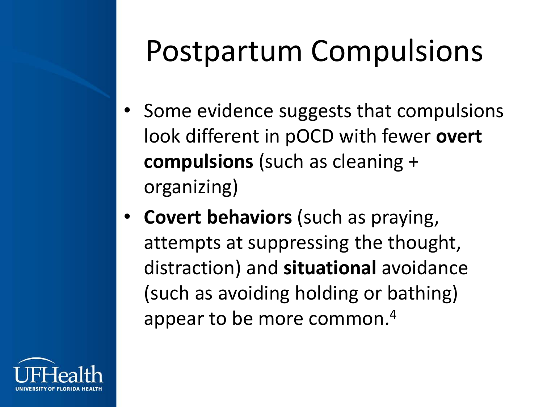# Postpartum Compulsions

- Some evidence suggests that compulsions look different in pOCD with fewer **overt compulsions** (such as cleaning + organizing)
- **Covert behaviors** (such as praying, attempts at suppressing the thought, distraction) and **situational** avoidance (such as avoiding holding or bathing) appear to be more common.4

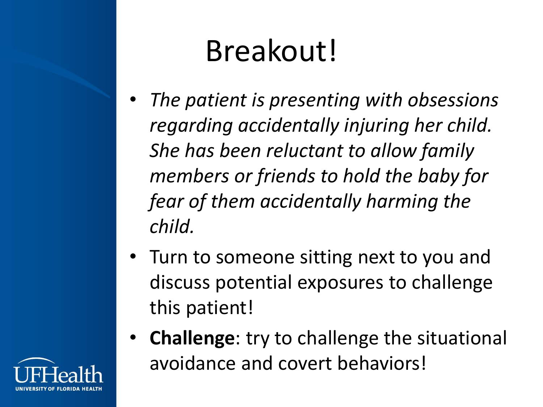# Breakout!

- *The patient is presenting with obsessions regarding accidentally injuring her child. She has been reluctant to allow family members or friends to hold the baby for fear of them accidentally harming the child.*
- Turn to someone sitting next to you and discuss potential exposures to challenge this patient!
- **Challenge**: try to challenge the situational avoidance and covert behaviors!

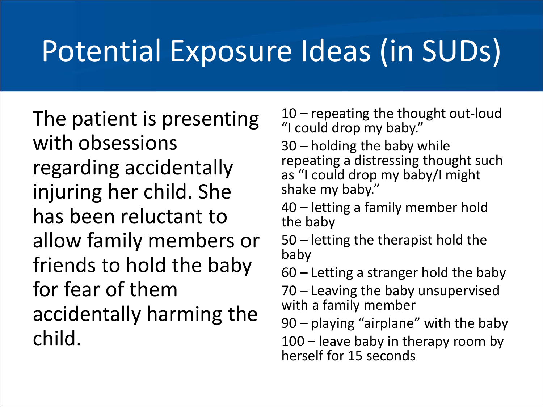### Potential Exposure Ideas (in SUDs)

The patient is presenting with obsessions regarding accidentally injuring her child. She has been reluctant to allow family members or friends to hold the baby for fear of them accidentally harming the child.

10 – repeating the thought out-loud "I could drop my baby."

30 – holding the baby while repeating a distressing thought such as "I could drop my baby/I might shake my baby."

40 – letting a family member hold the baby

50 – letting the therapist hold the baby

60 – Letting a stranger hold the baby

70 – Leaving the baby unsupervised with a family member

90 – playing "airplane" with the baby

100 – leave baby in therapy room by herself for 15 seconds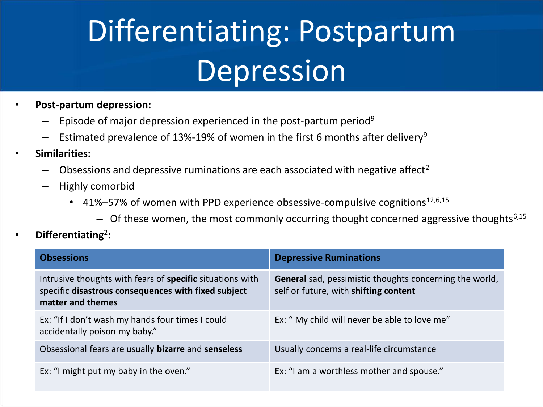# Differentiating: Postpartum Depression

- **Post-partum depression:**
	- Episode of major depression experienced in the post-partum period<sup>9</sup>
	- Estimated prevalence of 13%-19% of women in the first 6 months after delivery<sup>9</sup>
- **Similarities:**
	- Obsessions and depressive ruminations are each associated with negative affect<sup>2</sup>
	- Highly comorbid
		- 41%–57% of women with PPD experience obsessive-compulsive cognitions<sup>12,6,15</sup>
			- $-$  Of these women, the most commonly occurring thought concerned aggressive thoughts<sup>6,15</sup>

#### • **Differentiating**<sup>2</sup> **:**

| <b>Obsessions</b>                                                                                                                            | <b>Depressive Ruminations</b>                                                                           |
|----------------------------------------------------------------------------------------------------------------------------------------------|---------------------------------------------------------------------------------------------------------|
| Intrusive thoughts with fears of <b>specific</b> situations with<br>specific disastrous consequences with fixed subject<br>matter and themes | <b>General</b> sad, pessimistic thoughts concerning the world,<br>self or future, with shifting content |
| Ex: "If I don't wash my hands four times I could<br>accidentally poison my baby."                                                            | Ex: " My child will never be able to love me"                                                           |
| Obsessional fears are usually bizarre and senseless                                                                                          | Usually concerns a real-life circumstance                                                               |
| Ex: "I might put my baby in the oven."                                                                                                       | Ex: "I am a worthless mother and spouse."                                                               |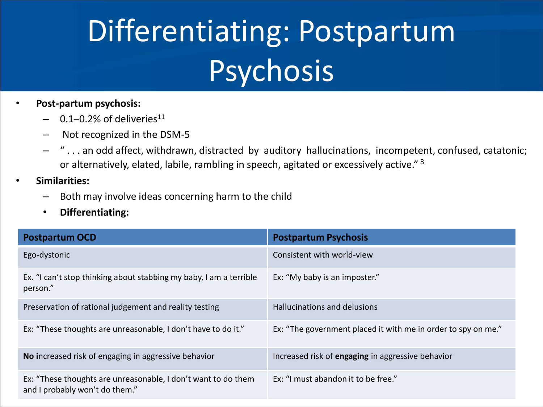# Differentiating: Postpartum **Psychosis**

#### • **Post-partum psychosis:**

- $-$  0.1–0.2% of deliveries<sup>11</sup>
- Not recognized in the DSM-5
- " . . . an odd affect, withdrawn, distracted by auditory hallucinations, incompetent, confused, catatonic; or alternatively, elated, labile, rambling in speech, agitated or excessively active." <sup>3</sup>
- **Similarities:**
	- Both may involve ideas concerning harm to the child
	- **Differentiating:**

| <b>Postpartum OCD</b>                                                                           | <b>Postpartum Psychosis</b>                                   |
|-------------------------------------------------------------------------------------------------|---------------------------------------------------------------|
| Ego-dystonic                                                                                    | Consistent with world-view                                    |
| Ex. "I can't stop thinking about stabbing my baby, I am a terrible<br>person."                  | Ex: "My baby is an imposter."                                 |
| Preservation of rational judgement and reality testing                                          | Hallucinations and delusions                                  |
| Ex: "These thoughts are unreasonable, I don't have to do it."                                   | Ex: "The government placed it with me in order to spy on me." |
| No increased risk of engaging in aggressive behavior                                            | Increased risk of engaging in aggressive behavior             |
| Ex: "These thoughts are unreasonable, I don't want to do them<br>and I probably won't do them." | Ex: "I must abandon it to be free."                           |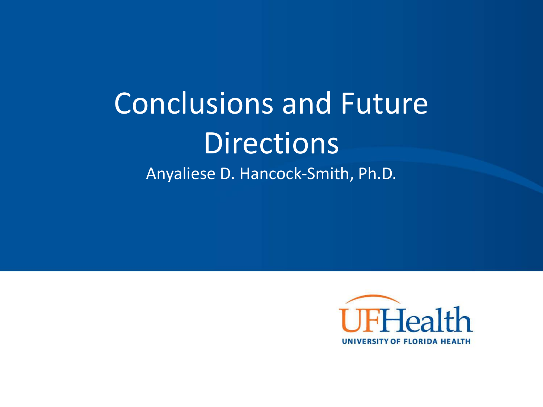#### Conclusions and Future **Directions** Anyaliese D. Hancock-Smith, Ph.D.

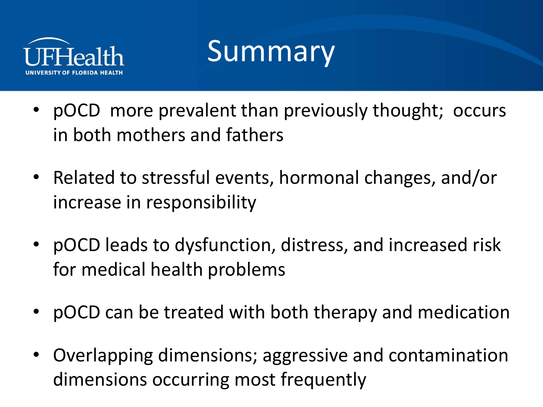

#### **Summary**

- pOCD more prevalent than previously thought; occurs in both mothers and fathers
- Related to stressful events, hormonal changes, and/or increase in responsibility
- pOCD leads to dysfunction, distress, and increased risk for medical health problems
- pOCD can be treated with both therapy and medication
- Overlapping dimensions; aggressive and contamination dimensions occurring most frequently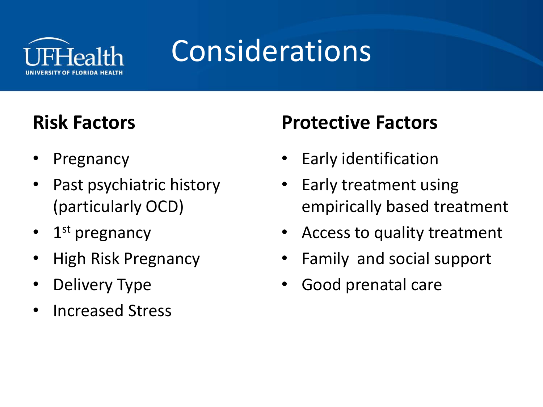

# Considerations

#### **Risk Factors**

- **Pregnancy**
- Past psychiatric history (particularly OCD)
- 1<sup>st</sup> pregnancy
- High Risk Pregnancy
- Delivery Type
- Increased Stress

#### **Protective Factors**

- Early identification
- Early treatment using empirically based treatment
- Access to quality treatment
- Family and social support
- Good prenatal care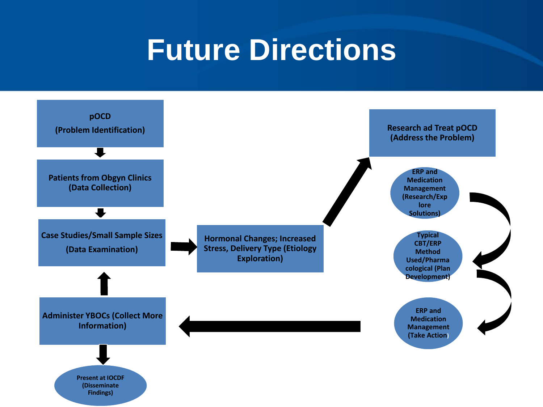#### **Future Directions**

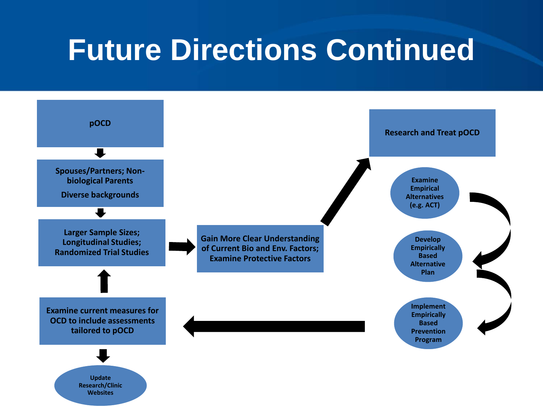#### **Future Directions Continued**

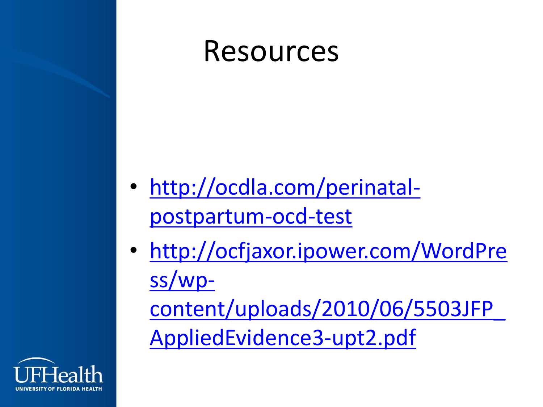

- [http://ocdla.com/perinatal](http://ocdla.com/perinatal-postpartum-ocd-test)postpartum-ocd-test
- http://ocfjaxor.ipower.com/WordPre ss/wp[content/uploads/2010/06/5503JFP\\_](http://ocfjaxor.ipower.com/WordPress/wp-content/uploads/2010/06/5503JFP_AppliedEvidence3-upt2.pdf) AppliedEvidence3-upt2.pdf

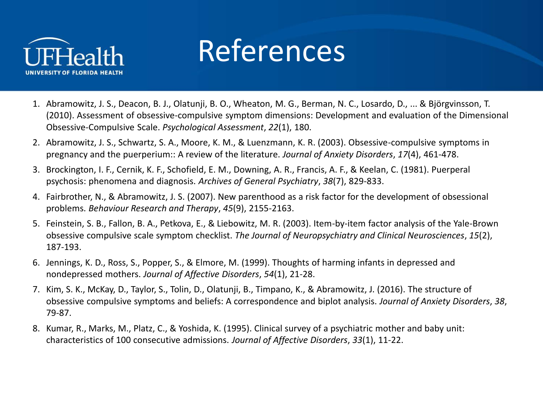

#### References

- 1. Abramowitz, J. S., Deacon, B. J., Olatunji, B. O., Wheaton, M. G., Berman, N. C., Losardo, D., ... & Björgvinsson, T. (2010). Assessment of obsessive-compulsive symptom dimensions: Development and evaluation of the Dimensional Obsessive-Compulsive Scale. *Psychological Assessment*, *22*(1), 180.
- 2. Abramowitz, J. S., Schwartz, S. A., Moore, K. M., & Luenzmann, K. R. (2003). Obsessive-compulsive symptoms in pregnancy and the puerperium:: A review of the literature. *Journal of Anxiety Disorders*, *17*(4), 461-478.
- 3. Brockington, I. F., Cernik, K. F., Schofield, E. M., Downing, A. R., Francis, A. F., & Keelan, C. (1981). Puerperal psychosis: phenomena and diagnosis. *Archives of General Psychiatry*, *38*(7), 829-833.
- 4. Fairbrother, N., & Abramowitz, J. S. (2007). New parenthood as a risk factor for the development of obsessional problems. *Behaviour Research and Therapy*, *45*(9), 2155-2163.
- 5. Feinstein, S. B., Fallon, B. A., Petkova, E., & Liebowitz, M. R. (2003). Item-by-item factor analysis of the Yale-Brown obsessive compulsive scale symptom checklist. *The Journal of Neuropsychiatry and Clinical Neurosciences*, *15*(2), 187-193.
- 6. Jennings, K. D., Ross, S., Popper, S., & Elmore, M. (1999). Thoughts of harming infants in depressed and nondepressed mothers. *Journal of Affective Disorders*, *54*(1), 21-28.
- 7. Kim, S. K., McKay, D., Taylor, S., Tolin, D., Olatunji, B., Timpano, K., & Abramowitz, J. (2016). The structure of obsessive compulsive symptoms and beliefs: A correspondence and biplot analysis. *Journal of Anxiety Disorders*, *38*, 79-87.
- 8. Kumar, R., Marks, M., Platz, C., & Yoshida, K. (1995). Clinical survey of a psychiatric mother and baby unit: characteristics of 100 consecutive admissions. *Journal of Affective Disorders*, *33*(1), 11-22.